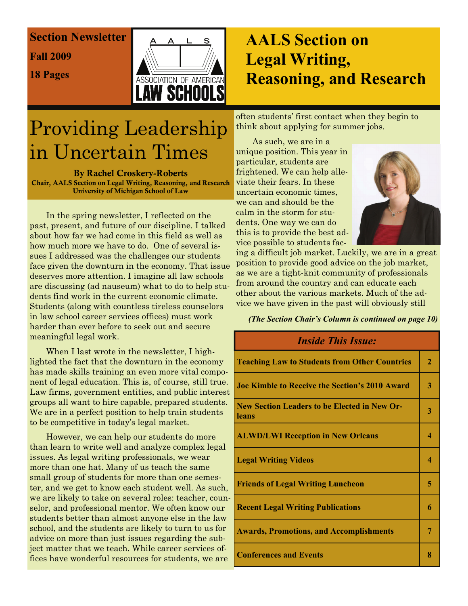# Section Newsletter **Section Newsletter**

**Fall 2009** 

18 Pages



# *Section on*  **AALS Section on Legal Writing, Reasoning, and Research**

often students' first contact when they begin to think about applying for summer jobs.

# Providing Leadership in Uncertain Times

By Rachel Croskery-Roberts Chair, AALS Section on Legal Writing, Reasoning, and Research University of Michigan School of Law

 In the spring newsletter, I reflected on the past, present, and future of our discipline. I talked about how far we had come in this field as well as how much more we have to do. One of several issues I addressed was the challenges our students face given the downturn in the economy. That issue deserves more attention. I imagine all law schools are discussing (ad nauseum) what to do to help students find work in the current economic climate. Students (along with countless tireless counselors in law school career services offices) must work harder than ever before to seek out and secure meaningful legal work.

 When I last wrote in the newsletter, I highlighted the fact that the downturn in the economy has made skills training an even more vital component of legal education. This is, of course, still true. Law firms, government entities, and public interest groups all want to hire capable, prepared students. We are in a perfect position to help train students to be competitive in today's legal market.

 However, we can help our students do more than learn to write well and analyze complex legal issues. As legal writing professionals, we wear more than one hat. Many of us teach the same small group of students for more than one semester, and we get to know each student well. As such, we are likely to take on several roles: teacher, counselor, and professional mentor. We often know our students better than almost anyone else in the law school, and the students are likely to turn to us for advice on more than just issues regarding the subject matter that we teach. While career services offices have wonderful resources for students, we are

As such, we are in a unique position. This year in particular, students are frightened. We can help alleviate their fears. In these uncertain economic times, we can and should be the calm in the storm for students. One way we can do this is to provide the best advice possible to students fac-



ing a difficult job market. Luckily, we are in a great position to provide good advice on the job market, as we are a tight-knit community of professionals from around the country and can educate each other about the various markets. Much of the advice we have given in the past will obviously still

*(The Section Chair's Column is continued on page 10)* 

| <b>Inside This Issue:</b>                                    |              |
|--------------------------------------------------------------|--------------|
| <b>Teaching Law to Students from Other Countries</b>         | $\mathbf{2}$ |
| <b>Joe Kimble to Receive the Section's 2010 Award</b>        | 3            |
| <b>New Section Leaders to be Elected in New Or-</b><br>leans | 3            |
| <b>ALWD/LWI Reception in New Orleans</b>                     | 4            |
| <b>Legal Writing Videos</b>                                  | 4            |
| <b>Friends of Legal Writing Luncheon</b>                     | 5            |
| <b>Recent Legal Writing Publications</b>                     | 6            |
| <b>Awards, Promotions, and Accomplishments</b>               | 7            |
| <b>Conferences and Events</b>                                | 8            |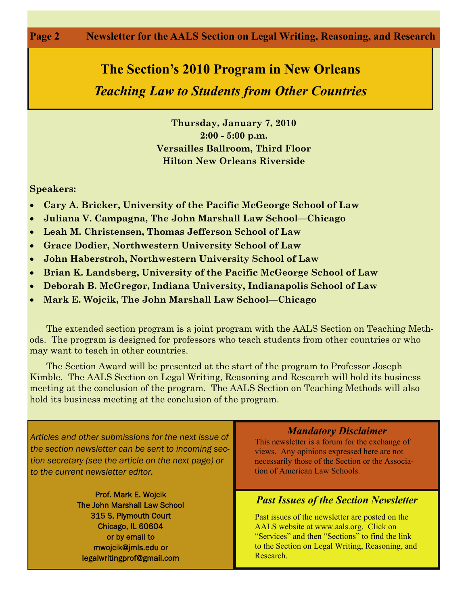#### **Page 2 Newsletter for the AALS Section on Legal Writing, Reasoning, and Research**

# **The Section's 2010 Program in New Orleans**

### *Teaching Law to Students from Other Countries*

**Thursday, January 7, 2010 2:00 - 5:00 p.m. Versailles Ballroom, Third Floor Hilton New Orleans Riverside** 

#### **Speakers:**

- **Cary A. Bricker, University of the Pacific McGeorge School of Law**
- **Juliana V. Campagna, The John Marshall Law School—Chicago**
- **Leah M. Christensen, Thomas Jefferson School of Law**
- **Grace Dodier, Northwestern University School of Law**
- **John Haberstroh, Northwestern University School of Law**
- **Brian K. Landsberg, University of the Pacific McGeorge School of Law**
- **Deborah B. McGregor, Indiana University, Indianapolis School of Law**
- **Mark E. Wojcik, The John Marshall Law School—Chicago**

 The extended section program is a joint program with the AALS Section on Teaching Methods. The program is designed for professors who teach students from other countries or who may want to teach in other countries.

 The Section Award will be presented at the start of the program to Professor Joseph Kimble. The AALS Section on Legal Writing, Reasoning and Research will hold its business meeting at the conclusion of the program. The AALS Section on Teaching Methods will also hold its business meeting at the conclusion of the program.

*Articles and other submissions for the next issue of the section newsletter can be sent to incoming section secretary (see the article on the next page) or to the current newsletter editor.* 

> Prof. Mark E. Wojcik The John Marshall Law School 315 S. Plymouth Court Chicago, IL 60604 or by email to mwojcik@jmls.edu or legalwritingprof@gmail.com

#### *Mandatory Disclaimer*

This newsletter is a forum for the exchange of views. Any opinions expressed here are not necessarily those of the Section or the Association of American Law Schools.

#### *Past Issues of the Section Newsletter*

Past issues of the newsletter are posted on the AALS website at www.aals.org. Click on "Services" and then "Sections" to find the link to the Section on Legal Writing, Reasoning, and Research.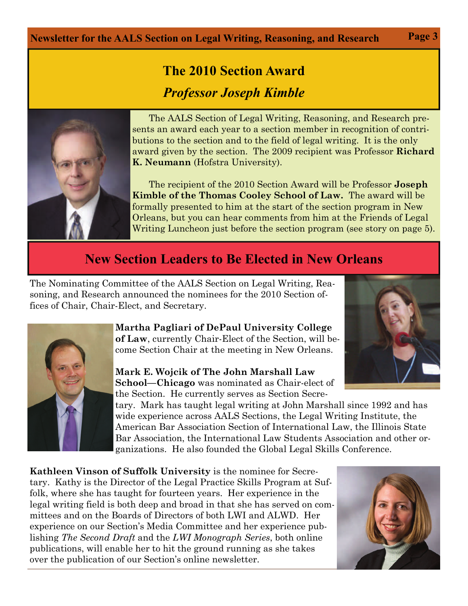### **Newsletter for the AALS Section on Legal Writing, Reasoning, and Research Page 3**

# **The 2010 Section Award**  *Professor Joseph Kimble*



The AALS Section of Legal Writing, Reasoning, and Research presents an award each year to a section member in recognition of contributions to the section and to the field of legal writing. It is the only award given by the section. The 2009 recipient was Professor **Richard K. Neumann** (Hofstra University).

 The recipient of the 2010 Section Award will be Professor **Joseph Kimble of the Thomas Cooley School of Law.** The award will be formally presented to him at the start of the section program in New Orleans, but you can hear comments from him at the Friends of Legal Writing Luncheon just before the section program (see story on page 5).

## **New Section Leaders to Be Elected in New Orleans**

The Nominating Committee of the AALS Section on Legal Writing, Reasoning, and Research announced the nominees for the 2010 Section offices of Chair, Chair-Elect, and Secretary.



**Martha Pagliari of DePaul University College of Law**, currently Chair-Elect of the Section, will become Section Chair at the meeting in New Orleans.

#### **Mark E. Wojcik of The John Marshall Law School—Chicago** was nominated as Chair-elect of the Section. He currently serves as Section Secre-

tary. Mark has taught legal writing at John Marshall since 1992 and has wide experience across AALS Sections, the Legal Writing Institute, the American Bar Association Section of International Law, the Illinois State Bar Association, the International Law Students Association and other organizations. He also founded the Global Legal Skills Conference.

**Kathleen Vinson of Suffolk University** is the nominee for Secretary. Kathy is the Director of the Legal Practice Skills Program at Suffolk, where she has taught for fourteen years. Her experience in the legal writing field is both deep and broad in that she has served on committees and on the Boards of Directors of both LWI and ALWD. Her experience on our Section's Media Committee and her experience publishing *The Second Draft* and the *LWI Monograph Series*, both online publications, will enable her to hit the ground running as she takes over the publication of our Section's online newsletter.

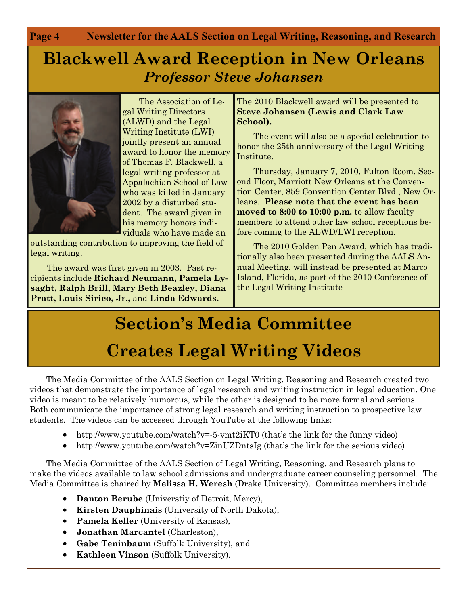**Page 4 Newsletter for the AALS Section on Legal Writing, Reasoning, and Research** 

## **Blackwell Award Reception in New Orleans**  *Professor Steve Johansen*



The Association of Legal Writing Directors (ALWD) and the Legal Writing Institute (LWI) jointly present an annual award to honor the memory of Thomas F. Blackwell, a legal writing professor at Appalachian School of Law who was killed in January 2002 by a disturbed student. The award given in his memory honors individuals who have made an

outstanding contribution to improving the field of legal writing.

 The award was first given in 2003. Past recipients include **Richard Neumann, Pamela Lysaght, Ralph Brill, Mary Beth Beazley, Diana Pratt, Louis Sirico, Jr.,** and **Linda Edwards.**

The 2010 Blackwell award will be presented to **Steve Johansen (Lewis and Clark Law School).**

 The event will also be a special celebration to honor the 25th anniversary of the Legal Writing Institute.

 Thursday, January 7, 2010, Fulton Room, Second Floor, Marriott New Orleans at the Convention Center, 859 Convention Center Blvd., New Orleans. **Please note that the event has been moved to 8:00 to 10:00 p.m.** to allow faculty members to attend other law school receptions before coming to the ALWD/LWI reception.

 The 2010 Golden Pen Award, which has traditionally also been presented during the AALS Annual Meeting, will instead be presented at Marco Island, Florida, as part of the 2010 Conference of the Legal Writing Institute

# **Section's Media Committee Creates Legal Writing Videos**

The Media Committee of the AALS Section on Legal Writing, Reasoning and Research created two videos that demonstrate the importance of legal research and writing instruction in legal education. One video is meant to be relatively humorous, while the other is designed to be more formal and serious. Both communicate the importance of strong legal research and writing instruction to prospective law students. The videos can be accessed through YouTube at the following links:

- http://www.youtube.com/watch?v=-5-ymt2iKT0 (that's the link for the funny video)
- http://www.youtube.com/watch?v=ZinUZDntsIg (that's the link for the serious video)

 The Media Committee of the AALS Section of Legal Writing, Reasoning, and Research plans to make the videos available to law school admissions and undergraduate career counseling personnel. The Media Committee is chaired by **Melissa H. Weresh** (Drake University). Committee members include:

- **Danton Berube** (Universtiy of Detroit, Mercy),
- **Kirsten Dauphinais** (University of North Dakota),
- **Pamela Keller** (University of Kansas),
- **Jonathan Marcantel** (Charleston),
- **Gabe Teninbaum** (Suffolk University), and
- **Kathleen Vinson** (Suffolk University).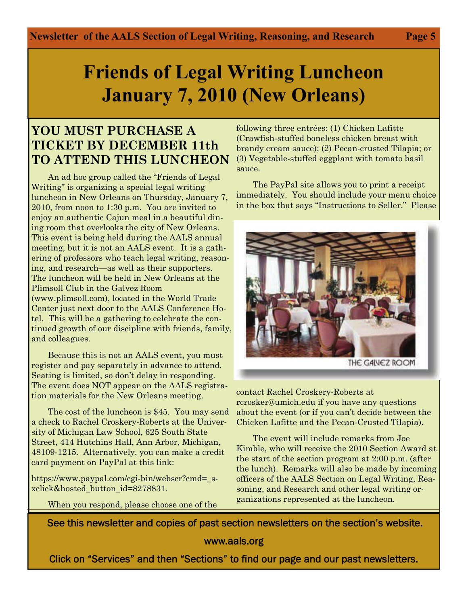# **Friends of Legal Writing Luncheon January 7, 2010 (New Orleans)**

### **YOU MUST PURCHASE A TICKET BY DECEMBER 11th TO ATTEND THIS LUNCHEON**

An ad hoc group called the "Friends of Legal Writing" is organizing a special legal writing luncheon in New Orleans on Thursday, January 7, 2010, from noon to 1:30 p.m. You are invited to enjoy an authentic Cajun meal in a beautiful dining room that overlooks the city of New Orleans. This event is being held during the AALS annual meeting, but it is not an AALS event. It is a gathering of professors who teach legal writing, reasoning, and research—as well as their supporters. The luncheon will be held in New Orleans at the Plimsoll Club in the Galvez Room (www.plimsoll.com), located in the World Trade Center just next door to the AALS Conference Hotel. This will be a gathering to celebrate the continued growth of our discipline with friends, family, and colleagues.

 Because this is not an AALS event, you must register and pay separately in advance to attend. Seating is limited, so don't delay in responding. The event does NOT appear on the AALS registration materials for the New Orleans meeting.

 The cost of the luncheon is \$45. You may send a check to Rachel Croskery-Roberts at the University of Michigan Law School, 625 South State Street, 414 Hutchins Hall, Ann Arbor, Michigan, 48109-1215. Alternatively, you can make a credit card payment on PayPal at this link:

https://www.paypal.com/cgi-bin/webscr?cmd=\_sxclick&hosted\_button\_id=8278831.

When you respond, please choose one of the

following three entrées: (1) Chicken Lafitte (Crawfish-stuffed boneless chicken breast with brandy cream sauce); (2) Pecan-crusted Tilapia; or (3) Vegetable-stuffed eggplant with tomato basil sauce.

 The PayPal site allows you to print a receipt immediately. You should include your menu choice in the box that says "Instructions to Seller." Please



THE GAINEZ ROOM

contact Rachel Croskery-Roberts at rcrosker@umich.edu if you have any questions about the event (or if you can't decide between the Chicken Lafitte and the Pecan-Crusted Tilapia).

 The event will include remarks from Joe Kimble, who will receive the 2010 Section Award at the start of the section program at 2:00 p.m. (after the lunch). Remarks will also be made by incoming officers of the AALS Section on Legal Writing, Reasoning, and Research and other legal writing organizations represented at the luncheon.

See this newsletter and copies of past section newsletters on the section's website.

www.aals.org

Click on "Services" and then "Sections" to find our page and our past newsletters.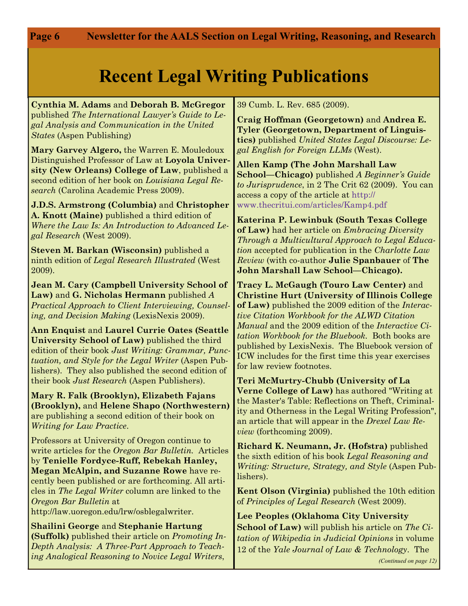Page 6

# **Recent Legal Writing Publications**

**Cynthia M. Adams** and **Deborah B. McGregor**  published *The International Lawyer's Guide to Legal Analysis and Communication in the United States* (Aspen Publishing)

**Mary Garvey Algero,** the Warren E. Mouledoux Distinguished Professor of Law at **Loyola University (New Orleans) College of Law**, published a second edition of her book on *Louisiana Legal Research* (Carolina Academic Press 2009).

**J.D.S. Armstrong (Columbia)** and **Christopher A. Knott (Maine)** published a third edition of *Where the Law Is: An Introduction to Advanced Legal Research* (West 2009).

**Steven M. Barkan (Wisconsin)** published a ninth edition of *Legal Research Illustrated* (West 2009).

**Jean M. Cary (Campbell University School of Law)** and **G. Nicholas Hermann** published *A Practical Approach to Client Interviewing, Counseling, and Decision Making* (LexisNexis 2009).

**Ann Enquist** and **Laurel Currie Oates (Seattle University School of Law)** published the third edition of their book *Just Writing: Grammar, Punctuation, and Style for the Legal Writer* (Aspen Publishers). They also published the second edition of their book *Just Research* (Aspen Publishers).

**Mary R. Falk (Brooklyn), Elizabeth Fajans (Brooklyn),** and **Helene Shapo (Northwestern)**  are publishing a second edition of their book on *Writing for Law Practice*.

Professors at University of Oregon continue to write articles for the *Oregon Bar Bulletin.* Articles by **Tenielle Fordyce-Ruff, Rebekah Hanley, Megan McAlpin, and Suzanne Rowe** have recently been published or are forthcoming. All articles in *The Legal Writer* column are linked to the *Oregon Bar Bulletin* at http://law.uoregon.edu/lrw/osblegalwriter.

**Shailini George** and **Stephanie Hartung (Suffolk)** published their article on *Promoting In-Depth Analysis: A Three-Part Approach to Teaching Analogical Reasoning to Novice Legal Writers*,

39 Cumb. L. Rev. 685 (2009).

**Craig Hoffman (Georgetown)** and **Andrea E. Tyler (Georgetown, Department of Linguistics)** published *United States Legal Discourse: Legal English for Foreign LLMs* (West).

**Allen Kamp (The John Marshall Law School—Chicago)** published *A Beginner's Guide to Jurisprudence*, in 2 The Crit 62 (2009). You can access a copy of the article at [http://](https://webmail.jmls.edu/owa/redir.aspx?C=7185bf271c204b1496871957abca88a3&URL=http%3a%2f%2fwww.thecritui.com%2farticles%2fKamp4.pdf) [www.thecritui.com/articles/Kamp4.pdf](https://webmail.jmls.edu/owa/redir.aspx?C=7185bf271c204b1496871957abca88a3&URL=http%3a%2f%2fwww.thecritui.com%2farticles%2fKamp4.pdf)

**Katerina P. Lewinbuk (South Texas College of Law)** had her article on *Embracing Diversity Through a Multicultural Approach to Legal Education* accepted for publication in the *Charlotte Law Review* (with co-author **Julie Spanbauer** of **The John Marshall Law School—Chicago).**

**Tracy L. McGaugh (Touro Law Center)** and **Christine Hurt (University of Illinois College of Law)** published the 2009 edition of the *Interactive Citation Workbook for the ALWD Citation Manual* and the 2009 edition of the *Interactive Citation Workbook for the Bluebook.* Both books are published by LexisNexis. The Bluebook version of ICW includes for the first time this year exercises for law review footnotes.

**Teri McMurtry-Chubb (University of La Verne College of Law)** has authored "Writing at the Master's Table: Reflections on Theft, Criminality and Otherness in the Legal Writing Profession", an article that will appear in the *Drexel Law Review* (forthcoming 2009).

**Richard K. Neumann, Jr. (Hofstra)** published the sixth edition of his book *Legal Reasoning and Writing: Structure, Strategy, and Style* (Aspen Publishers).

**Kent Olson (Virginia)** published the 10th edition of *Principles of Legal Research* (West 2009).

**Lee Peoples (Oklahoma City University School of Law)** will publish his article on *The Citation of Wikipedia in Judicial Opinions* in volume 12 of the *Yale Journal of Law & Technology*. The

*(Continued on page 12)*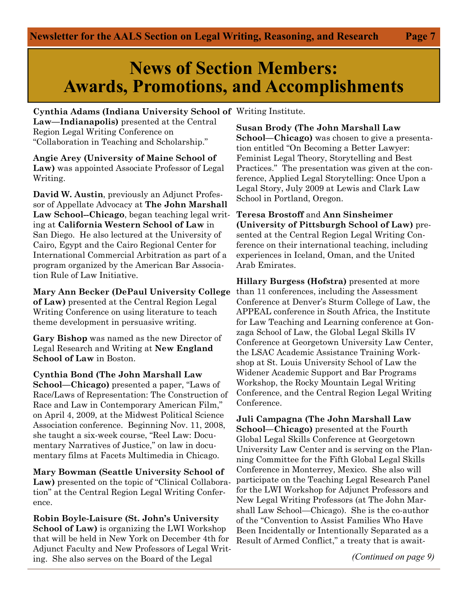## **News of Section Members: Awards, Promotions, and Accomplishments**

**Cynthia Adams (Indiana University School of**  Writing Institute. **Law—Indianapolis)** presented at the Central Region Legal Writing Conference on "Collaboration in Teaching and Scholarship."

**Angie Arey (University of Maine School of Law)** was appointed Associate Professor of Legal Writing.

**David W. Austin**, previously an Adjunct Professor of Appellate Advocacy at **The John Marshall Law School--Chicago**, began teaching legal writing at **California Western School of Law** in San Diego. He also lectured at the University of Cairo, Egypt and the Cairo Regional Center for International Commercial Arbitration as part of a program organized by the American Bar Association Rule of Law Initiative.

**Mary Ann Becker (DePaul University College of Law)** presented at the Central Region Legal Writing Conference on using literature to teach theme development in persuasive writing.

**Gary Bishop** was named as the new Director of Legal Research and Writing at **New England School of Law** in Boston.

**Cynthia Bond (The John Marshall Law School—Chicago)** presented a paper, "Laws of Race/Laws of Representation: The Construction of Race and Law in Contemporary American Film," on April 4, 2009, at the Midwest Political Science Association conference. Beginning Nov. 11, 2008, she taught a six-week course, "Reel Law: Documentary Narratives of Justice," on law in documentary films at Facets Multimedia in Chicago.

**Mary Bowman (Seattle University School of Law)** presented on the topic of "Clinical Collaboration" at the Central Region Legal Writing Conference.

**Robin Boyle-Laisure (St. John's University School of Law)** is organizing the LWI Workshop that will be held in New York on December 4th for Adjunct Faculty and New Professors of Legal Writing. She also serves on the Board of the Legal

**Susan Brody (The John Marshall Law School—Chicago)** was chosen to give a presentation entitled "On Becoming a Better Lawyer: Feminist Legal Theory, Storytelling and Best Practices." The presentation was given at the conference, Applied Legal Storytelling: Once Upon a Legal Story, July 2009 at Lewis and Clark Law School in Portland, Oregon.

**Teresa Brostoff** and **Ann Sinsheimer (University of Pittsburgh School of Law)** presented at the Central Region Legal Writing Conference on their international teaching, including experiences in Iceland, Oman, and the United Arab Emirates.

**Hillary Burgess (Hofstra)** presented at more than 11 conferences, including the Assessment Conference at Denver's Sturm College of Law, the APPEAL conference in South Africa, the Institute for Law Teaching and Learning conference at Gonzaga School of Law, the Global Legal Skills IV Conference at Georgetown University Law Center, the LSAC Academic Assistance Training Workshop at St. Louis University School of Law the Widener Academic Support and Bar Programs Workshop, the Rocky Mountain Legal Writing Conference, and the Central Region Legal Writing Conference.

**Juli Campagna (The John Marshall Law School—Chicago)** presented at the Fourth Global Legal Skills Conference at Georgetown University Law Center and is serving on the Planning Committee for the Fifth Global Legal Skills Conference in Monterrey, Mexico. She also will participate on the Teaching Legal Research Panel for the LWI Workshop for Adjunct Professors and New Legal Writing Professors (at The John Marshall Law School—Chicago). She is the co-author of the "Convention to Assist Families Who Have Been Incidentally or Intentionally Separated as a Result of Armed Conflict," a treaty that is await-

*(Continued on page 9)*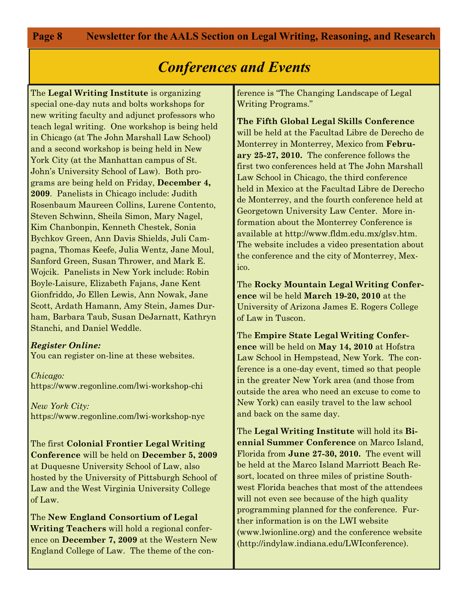**Page 8** 

## *Conferences and Events*

The **Legal Writing Institute** is organizing special one-day nuts and bolts workshops for new writing faculty and adjunct professors who teach legal writing. One workshop is being held in Chicago (at The John Marshall Law School) and a second workshop is being held in New York City (at the Manhattan campus of St. John's University School of Law). Both programs are being held on Friday, **December 4, 2009**. Panelists in Chicago include: Judith Rosenbaum Maureen Collins, Lurene Contento, Steven Schwinn, Sheila Simon, Mary Nagel, Kim Chanbonpin, Kenneth Chestek, Sonia Bychkov Green, Ann Davis Shields, Juli Campagna, Thomas Keefe, Julia Wentz, Jane Moul, Sanford Green, Susan Thrower, and Mark E. Wojcik. Panelists in New York include: Robin Boyle-Laisure, Elizabeth Fajans, Jane Kent Gionfriddo, Jo Ellen Lewis, Ann Nowak, Jane Scott, Ardath Hamann, Amy Stein, James Durham, Barbara Taub, Susan DeJarnatt, Kathryn Stanchi, and Daniel Weddle.

#### *Register Online:*

You can register on-line at these websites.

*Chicago:*  https://www.regonline.com/lwi-workshop-chi

*New York City:*  https://www.regonline.com/lwi-workshop-nyc

The first **Colonial Frontier Legal Writing Conference** will be held on **December 5, 2009**  at Duquesne University School of Law, also hosted by the University of Pittsburgh School of Law and the West Virginia University College of Law.

The **New England Consortium of Legal Writing Teachers** will hold a regional conference on **December 7, 2009** at the Western New England College of Law. The theme of the conference is "The Changing Landscape of Legal Writing Programs."

**The Fifth Global Legal Skills Conference** will be held at the Facultad Libre de Derecho de Monterrey in Monterrey, Mexico from **February 25-27, 2010.** The conference follows the first two conferences held at The John Marshall Law School in Chicago, the third conference held in Mexico at the Facultad Libre de Derecho de Monterrey, and the fourth conference held at Georgetown University Law Center. More information about the Monterrey Conference is available at http://www.fldm.edu.mx/glsv.htm. The website includes a video presentation about the conference and the city of Monterrey, Mexico.

The **Rocky Mountain Legal Writing Conference** wil be held **March 19-20, 2010** at the University of Arizona James E. Rogers College of Law in Tuscon.

The **Empire State Legal Writing Conference** will be held on **May 14, 2010** at Hofstra Law School in Hempstead, New York. The conference is a one-day event, timed so that people in the greater New York area (and those from outside the area who need an excuse to come to New York) can easily travel to the law school and back on the same day.

The **Legal Writing Institute** will hold its **Biennial Summer Conference** on Marco Island, Florida from **June 27-30, 2010.** The event will be held at the Marco Island Marriott Beach Resort, located on three miles of pristine Southwest Florida beaches that most of the attendees will not even see because of the high quality programming planned for the conference. Further information is on the LWI website (www.lwionline.org) and the conference website (http://indylaw.indiana.edu/LWIconference).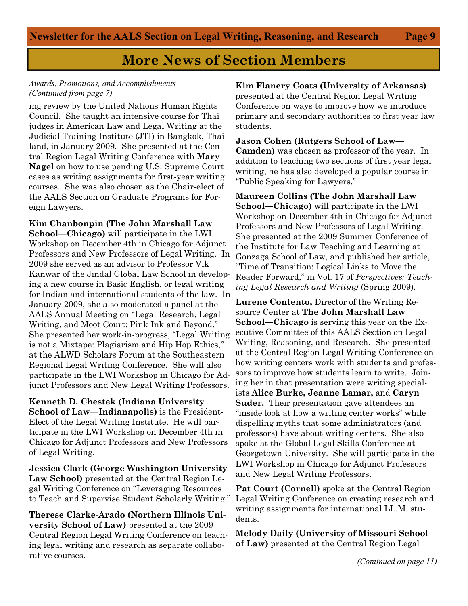#### *Awards, Promotions, and Accomplishments (Continued from page 7)*

ing review by the United Nations Human Rights Council. She taught an intensive course for Thai judges in American Law and Legal Writing at the Judicial Training Institute (JTI) in Bangkok, Thailand, in January 2009. She presented at the Central Region Legal Writing Conference with **Mary Nagel** on how to use pending U.S. Supreme Court cases as writing assignments for first-year writing courses. She was also chosen as the Chair-elect of the AALS Section on Graduate Programs for Foreign Lawyers.

**Kim Chanbonpin (The John Marshall Law School—Chicago)** will participate in the LWI Workshop on December 4th in Chicago for Adjunct Professors and New Professors of Legal Writing. In 2009 she served as an advisor to Professor Vik Kanwar of the Jindal Global Law School in developing a new course in Basic English, or legal writing for Indian and international students of the law. In January 2009, she also moderated a panel at the AALS Annual Meeting on "Legal Research, Legal Writing, and Moot Court: Pink Ink and Beyond." She presented her work-in-progress, "Legal Writing is not a Mixtape: Plagiarism and Hip Hop Ethics," at the ALWD Scholars Forum at the Southeastern Regional Legal Writing Conference. She will also participate in the LWI Workshop in Chicago for Adjunct Professors and New Legal Writing Professors.

**Kenneth D. Chestek (Indiana University School of Law—Indianapolis)** is the President-Elect of the Legal Writing Institute. He will participate in the LWI Workshop on December 4th in Chicago for Adjunct Professors and New Professors of Legal Writing.

**Jessica Clark (George Washington University Law School)** presented at the Central Region Legal Writing Conference on "Leveraging Resources to Teach and Supervise Student Scholarly Writing."

**Therese Clarke-Arado (Northern Illinois University School of Law)** presented at the 2009 Central Region Legal Writing Conference on teaching legal writing and research as separate collaborative courses.

#### **Kim Flanery Coats (University of Arkansas)**

presented at the Central Region Legal Writing Conference on ways to improve how we introduce primary and secondary authorities to first year law students.

**Jason Cohen (Rutgers School of Law— Camden)** was chosen as professor of the year. In addition to teaching two sections of first year legal writing, he has also developed a popular course in "Public Speaking for Lawyers."

**Maureen Collins (The John Marshall Law School—Chicago)** will participate in the LWI Workshop on December 4th in Chicago for Adjunct Professors and New Professors of Legal Writing. She presented at the 2009 Summer Conference of the Institute for Law Teaching and Learning at Gonzaga School of Law, and published her article, "Time of Transition: Logical Links to Move the Reader Forward," in Vol. 17 of *Perspectives: Teaching Legal Research and Writing* (Spring 2009).

**Lurene Contento,** Director of the Writing Resource Center at **The John Marshall Law School—Chicago** is serving this year on the Executive Committee of this AALS Section on Legal Writing, Reasoning, and Research. She presented at the Central Region Legal Writing Conference on how writing centers work with students and professors to improve how students learn to write. Joining her in that presentation were writing specialists **Alice Burke, Jeanne Lamar,** and **Caryn Suder.** Their presentation gave attendees an "inside look at how a writing center works" while dispelling myths that some administrators (and professors) have about writing centers. She also spoke at the Global Legal Skills Conference at Georgetown University. She will participate in the LWI Workshop in Chicago for Adjunct Professors and New Legal Writing Professors.

**Pat Court (Cornell)** spoke at the Central Region Legal Writing Conference on creating research and writing assignments for international LL.M. students.

**Melody Daily (University of Missouri School of Law)** presented at the Central Region Legal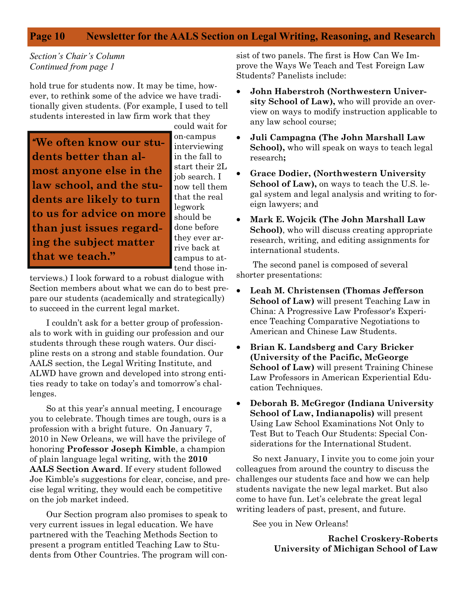#### **Page 10 Newsletter for the AALS Section on Legal Writing, Reasoning, and Research**

#### *Section's Chair's Column Continued from page 1*

hold true for students now. It may be time, however, to rethink some of the advice we have traditionally given students. (For example, I used to tell students interested in law firm work that they

"**We often know our students better than almost anyone else in the law school, and the students are likely to turn to us for advice on more than just issues regarding the subject matter that we teach."**

could wait for on-campus interviewing in the fall to start their 2L job search. I now tell them that the real legwork should be done before they ever arrive back at campus to attend those in-

terviews.) I look forward to a robust dialogue with Section members about what we can do to best prepare our students (academically and strategically) to succeed in the current legal market.

 I couldn't ask for a better group of professionals to work with in guiding our profession and our students through these rough waters. Our discipline rests on a strong and stable foundation. Our AALS section, the Legal Writing Institute, and ALWD have grown and developed into strong entities ready to take on today's and tomorrow's challenges.

 So at this year's annual meeting, I encourage you to celebrate. Though times are tough, ours is a profession with a bright future. On January 7, 2010 in New Orleans, we will have the privilege of honoring **Professor Joseph Kimble**, a champion of plain language legal writing, with the **2010 AALS Section Award**. If every student followed Joe Kimble's suggestions for clear, concise, and precise legal writing, they would each be competitive on the job market indeed.

 Our Section program also promises to speak to very current issues in legal education. We have partnered with the Teaching Methods Section to present a program entitled Teaching Law to Students from Other Countries. The program will consist of two panels. The first is How Can We Improve the Ways We Teach and Test Foreign Law Students? Panelists include:

- **John Haberstroh (Northwestern University School of Law),** who will provide an overview on ways to modify instruction applicable to any law school course;
- **Juli Campagna (The John Marshall Law School),** who will speak on ways to teach legal research**;**
- **Grace Dodier, (Northwestern University School of Law),** on ways to teach the U.S. legal system and legal analysis and writing to foreign lawyers; and
- **Mark E. Wojcik (The John Marshall Law School)**, who will discuss creating appropriate research, writing, and editing assignments for international students.

 The second panel is composed of several shorter presentations:

- **Leah M. Christensen (Thomas Jefferson School of Law)** will present Teaching Law in China: A Progressive Law Professor's Experience Teaching Comparative Negotiations to American and Chinese Law Students.
- **Brian K. Landsberg and Cary Bricker (University of the Pacific, McGeorge School of Law)** will present Training Chinese Law Professors in American Experiential Education Techniques.
- **Deborah B. McGregor (Indiana University School of Law, Indianapolis)** will present Using Law School Examinations Not Only to Test But to Teach Our Students: Special Considerations for the International Student.

 So next January, I invite you to come join your colleagues from around the country to discuss the challenges our students face and how we can help students navigate the new legal market. But also come to have fun. Let's celebrate the great legal writing leaders of past, present, and future.

See you in New Orleans!

**Rachel Croskery-Roberts University of Michigan School of Law**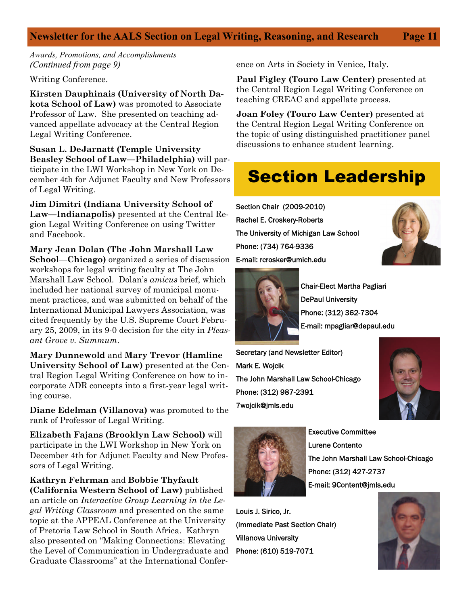#### **Newsletter for the AALS Section on Legal Writing, Reasoning, and Research Page 11**

*Awards, Promotions, and Accomplishments (Continued from page 9)* 

Writing Conference.

**Kirsten Dauphinais (University of North Dakota School of Law)** was promoted to Associate Professor of Law. She presented on teaching advanced appellate advocacy at the Central Region Legal Writing Conference.

**Susan L. DeJarnatt (Temple University Beasley School of Law—Philadelphia)** will participate in the LWI Workshop in New York on December 4th for Adjunct Faculty and New Professors of Legal Writing.

**Jim Dimitri (Indiana University School of Law—Indianapolis)** presented at the Central Region Legal Writing Conference on using Twitter and Facebook.

**Mary Jean Dolan (The John Marshall Law School—Chicago)** organized a series of discussion workshops for legal writing faculty at The John Marshall Law School. Dolan's *amicus* brief, which included her national survey of municipal monument practices, and was submitted on behalf of the International Municipal Lawyers Association, was cited frequently by the U.S. Supreme Court February 25, 2009, in its 9-0 decision for the city in *Pleasant Grove v. Summum*.

**Mary Dunnewold** and **Mary Trevor (Hamline University School of Law)** presented at the Central Region Legal Writing Conference on how to incorporate ADR concepts into a first-year legal writing course.

**Diane Edelman (Villanova)** was promoted to the rank of Professor of Legal Writing.

**Elizabeth Fajans (Brooklyn Law School)** will participate in the LWI Workshop in New York on December 4th for Adjunct Faculty and New Professors of Legal Writing.

**Kathryn Fehrman** and **Bobbie Thyfault (California Western School of Law)** published an article on *Interactive Group Learning in the Legal Writing Classroom* and presented on the same topic at the APPEAL Conference at the University of Pretoria Law School in South Africa. Kathryn also presented on "Making Connections: Elevating the Level of Communication in Undergraduate and Graduate Classrooms" at the International Confer-

ence on Arts in Society in Venice, Italy.

**Paul Figley (Touro Law Center)** presented at the Central Region Legal Writing Conference on teaching CREAC and appellate process.

**Joan Foley (Touro Law Center)** presented at the Central Region Legal Writing Conference on the topic of using distinguished practitioner panel discussions to enhance student learning.

# Section Leadership

Section Chair (2009-2010) Rachel E. Croskery-Roberts The University of Michigan Law School Phone: (734) 764-9336 E-mail: rcrosker@umich.edu





Chair-Elect Martha Pagliari DePaul University Phone: (312) 362-7304 E-mail: mpagliar@depaul.edu

Secretary (and Newsletter Editor) Mark E. Wojcik The John Marshall Law School-Chicago Phone: (312) 987-2391 7wojcik@jmls.edu





Executive Committee Lurene Contento The John Marshall Law School-Chicago Phone: (312) 427-2737 E-mail: 9Content@jmls.edu

Louis J. Sirico, Jr. (Immediate Past Section Chair) Villanova University Phone: (610) 519-7071

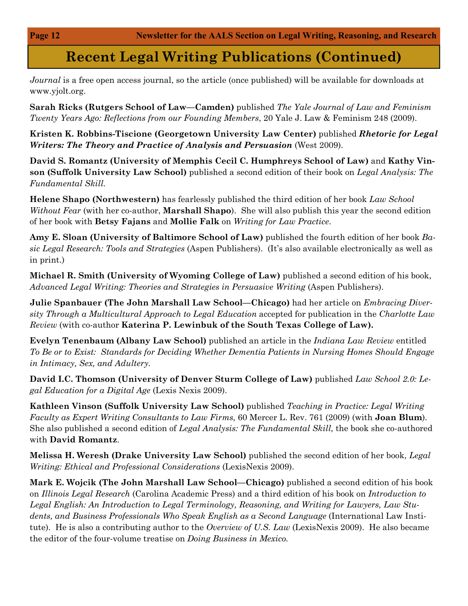## **Recent Legal Writing Publications (Continued)**

*Journal* is a free open access journal, so the article (once published) will be available for downloads at www.yjolt.org.

**Sarah Ricks (Rutgers School of Law—Camden)** published *The Yale Journal of Law and Feminism Twenty Years Ago: Reflections from our Founding Members*, 20 Yale J. Law & Feminism 248 (2009).

**Kristen K. Robbins-Tiscione (Georgetown University Law Center)** published *Rhetoric for Legal Writers: The Theory and Practice of Analysis and Persuasion* (West 2009).

**David S. Romantz (University of Memphis Cecil C. Humphreys School of Law)** and **Kathy Vinson (Suffolk University Law School)** published a second edition of their book on *Legal Analysis: The Fundamental Skill.* 

**Helene Shapo (Northwestern)** has fearlessly published the third edition of her book *Law School Without Fear* (with her co-author, **Marshall Shapo**). She will also publish this year the second edition of her book with **Betsy Fajans** and **Mollie Falk** on *Writing for Law Practice*.

**Amy E. Sloan (University of Baltimore School of Law)** published the fourth edition of her book *Basic Legal Research: Tools and Strategies* (Aspen Publishers). (It's also available electronically as well as in print.)

**Michael R. Smith (University of Wyoming College of Law)** published a second edition of his book, Advanced Legal Writing: Theories and Strategies in Persuasive Writing (Aspen Publishers).

**Julie Spanbauer (The John Marshall Law School—Chicago)** had her article on *Embracing Diversity Through a Multicultural Approach to Legal Education* accepted for publication in the *Charlotte Law Review* (with co-author **Katerina P. Lewinbuk of the South Texas College of Law).**

**Evelyn Tenenbaum (Albany Law School)** published an article in the *Indiana Law Review* entitled *To Be or to Exist: Standards for Deciding Whether Dementia Patients in Nursing Homes Should Engage in Intimacy, Sex, and Adultery.*

**David I.C. Thomson (University of Denver Sturm College of Law)** published *Law School 2.0: Legal Education for a Digital Age* (Lexis Nexis 2009).

**Kathleen Vinson (Suffolk University Law School)** published *Teaching in Practice: Legal Writing Faculty as Expert Writing Consultants to Law Firms,* 60 Mercer L. Rev. 761 (2009) (with **Joan Blum**). She also published a second edition of *Legal Analysis: The Fundamental Skill,* the book she co-authored with **David Romantz**.

**Melissa H. Weresh (Drake University Law School)** published the second edition of her book, *Legal Writing: Ethical and Professional Considerations* (LexisNexis 2009).

**Mark E. Wojcik (The John Marshall Law School—Chicago)** published a second edition of his book on *Illinois Legal Research* (Carolina Academic Press) and a third edition of his book on *Introduction to Legal English: An Introduction to Legal Terminology, Reasoning, and Writing for Lawyers, Law Students, and Business Professionals Who Speak English as a Second Language* (International Law Institute). He is also a contributing author to the *Overview of U.S. Law* (LexisNexis 2009). He also became the editor of the four-volume treatise on *Doing Business in Mexico.*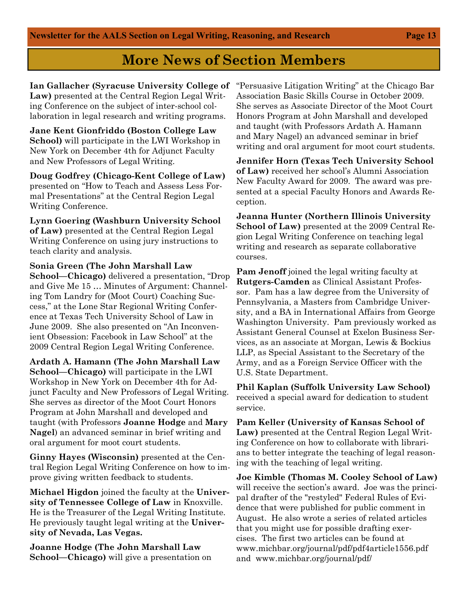**Ian Gallacher (Syracuse University College of Law)** presented at the Central Region Legal Writing Conference on the subject of inter-school collaboration in legal research and writing programs.

**Jane Kent Gionfriddo (Boston College Law School)** will participate in the LWI Workshop in New York on December 4th for Adjunct Faculty and New Professors of Legal Writing.

**Doug Godfrey (Chicago-Kent College of Law)**  presented on "How to Teach and Assess Less Formal Presentations" at the Central Region Legal Writing Conference.

**Lynn Goering (Washburn University School of Law)** presented at the Central Region Legal Writing Conference on using jury instructions to teach clarity and analysis.

**Sonia Green (The John Marshall Law School—Chicago)** delivered a presentation, "Drop and Give Me 15 … Minutes of Argument: Channeling Tom Landry for (Moot Court) Coaching Success," at the Lone Star Regional Writing Conference at Texas Tech University School of Law in June 2009. She also presented on "An Inconvenient Obsession: Facebook in Law School" at the 2009 Central Region Legal Writing Conference.

**Ardath A. Hamann (The John Marshall Law School—Chicago)** will participate in the LWI Workshop in New York on December 4th for Adjunct Faculty and New Professors of Legal Writing. She serves as director of the Moot Court Honors Program at John Marshall and developed and taught (with Professors **Joanne Hodge** and **Mary Nagel**) an advanced seminar in brief writing and oral argument for moot court students.

**Ginny Hayes (Wisconsin)** presented at the Central Region Legal Writing Conference on how to improve giving written feedback to students.

**Michael Higdon** joined the faculty at the **University of Tennessee College of Law** in Knoxville. He is the Treasurer of the Legal Writing Institute. He previously taught legal writing at the **University of Nevada, Las Vegas.**

**Joanne Hodge (The John Marshall Law School—Chicago)** will give a presentation on "Persuasive Litigation Writing" at the Chicago Bar Association Basic Skills Course in October 2009. She serves as Associate Director of the Moot Court Honors Program at John Marshall and developed and taught (with Professors Ardath A. Hamann and Mary Nagel) an advanced seminar in brief writing and oral argument for moot court students.

**Jennifer Horn (Texas Tech University School of Law)** received her school's Alumni Association New Faculty Award for 2009. The award was presented at a special Faculty Honors and Awards Reception.

**Jeanna Hunter (Northern Illinois University School of Law)** presented at the 2009 Central Region Legal Writing Conference on teaching legal writing and research as separate collaborative courses.

**Pam Jenoff** joined the legal writing faculty at **Rutgers-Camden** as Clinical Assistant Professor. Pam has a law degree from the University of Pennsylvania, a Masters from Cambridge University, and a BA in International Affairs from George Washington University. Pam previously worked as Assistant General Counsel at Exelon Business Services, as an associate at Morgan, Lewis & Bockius LLP, as Special Assistant to the Secretary of the Army, and as a Foreign Service Officer with the U.S. State Department.

**Phil Kaplan (Suffolk University Law School)**  received a special award for dedication to student service.

**Pam Keller (University of Kansas School of Law)** presented at the Central Region Legal Writing Conference on how to collaborate with librarians to better integrate the teaching of legal reasoning with the teaching of legal writing.

**Joe Kimble (Thomas M. Cooley School of Law)** will receive the section's award. Joe was the principal drafter of the "restyled" Federal Rules of Evidence that were published for public comment in August. He also wrote a series of related articles that you might use for possible drafting exercises. The first two articles can be found at www.michbar.org/journal/pdf/pdf4article1556.pdf and www.michbar.org/journal/pdf/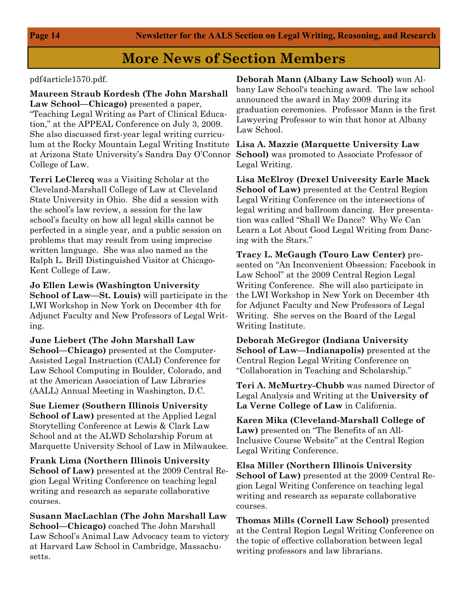#### pdf4article1570.pdf.

**Maureen Straub Kordesh (The John Marshall Law School—Chicago)** presented a paper, "Teaching Legal Writing as Part of Clinical Education," at the APPEAL Conference on July 3, 2009. She also discussed first-year legal writing curriculum at the Rocky Mountain Legal Writing Institute **Lisa A. Mazzie (Marquette University Law**  at Arizona State University's Sandra Day O'Connor College of Law.

**Terri LeClercq** was a Visiting Scholar at the Cleveland-Marshall College of Law at Cleveland State University in Ohio. She did a session with the school's law review, a session for the law school's faculty on how all legal skills cannot be perfected in a single year, and a public session on problems that may result from using imprecise written language. She was also named as the Ralph L. Brill Distinguished Visitor at Chicago-Kent College of Law.

**Jo Ellen Lewis (Washington University School of Law—St. Louis)** will participate in the LWI Workshop in New York on December 4th for Adjunct Faculty and New Professors of Legal Writing.

**June Liebert (The John Marshall Law School—Chicago)** presented at the Computer-Assisted Legal Instruction (CALI) Conference for Law School Computing in Boulder, Colorado, and at the American Association of Law Libraries (AALL) Annual Meeting in Washington, D.C.

**Sue Liemer (Southern Illinois University School of Law)** presented at the Applied Legal Storytelling Conference at Lewis & Clark Law School and at the ALWD Scholarship Forum at Marquette University School of Law in Milwaukee.

**Frank Lima (Northern Illinois University School of Law)** presented at the 2009 Central Region Legal Writing Conference on teaching legal writing and research as separate collaborative courses.

**Susann MacLachlan (The John Marshall Law School—Chicago)** coached The John Marshall Law School's Animal Law Advocacy team to victory at Harvard Law School in Cambridge, Massachusetts.

**Deborah Mann (Albany Law School)** won Albany Law School's teaching award. The law school announced the award in May 2009 during its graduation ceremonies. Professor Mann is the first Lawyering Professor to win that honor at Albany Law School.

**School)** was promoted to Associate Professor of Legal Writing.

**Lisa McElroy (Drexel University Earle Mack School of Law)** presented at the Central Region Legal Writing Conference on the intersections of legal writing and ballroom dancing. Her presentation was called "Shall We Dance? Why We Can Learn a Lot About Good Legal Writing from Dancing with the Stars."

**Tracy L. McGaugh (Touro Law Center)** presented on "An Inconvenient Obsession: Facebook in Law School" at the 2009 Central Region Legal Writing Conference. She will also participate in the LWI Workshop in New York on December 4th for Adjunct Faculty and New Professors of Legal Writing. She serves on the Board of the Legal Writing Institute.

**Deborah McGregor (Indiana University School of Law—Indianapolis)** presented at the Central Region Legal Writing Conference on "Collaboration in Teaching and Scholarship."

**Teri A. McMurtry-Chubb** was named Director of Legal Analysis and Writing at the **University of La Verne College of Law** in California.

**Karen Mika (Cleveland-Marshall College of Law)** presented on "The Benefits of an All-Inclusive Course Website" at the Central Region Legal Writing Conference.

**Elsa Miller (Northern Illinois University School of Law)** presented at the 2009 Central Region Legal Writing Conference on teaching legal writing and research as separate collaborative courses.

**Thomas Mills (Cornell Law School)** presented at the Central Region Legal Writing Conference on the topic of effective collaboration between legal writing professors and law librarians.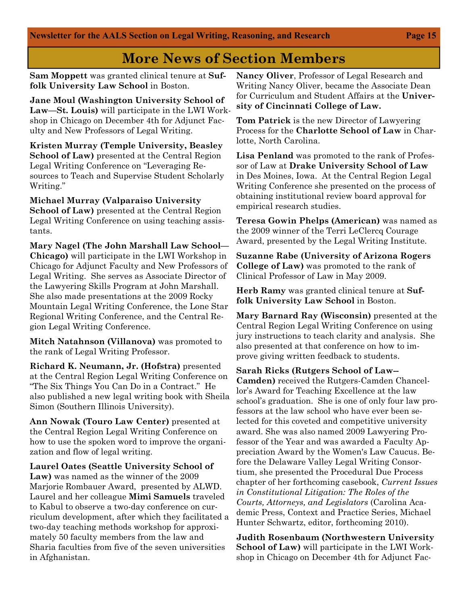**Sam Moppett** was granted clinical tenure at **Suffolk University Law School** in Boston.

**Jane Moul (Washington University School of Law—St. Louis)** will participate in the LWI Workshop in Chicago on December 4th for Adjunct Faculty and New Professors of Legal Writing.

**Kristen Murray (Temple University, Beasley School of Law)** presented at the Central Region Legal Writing Conference on "Leveraging Resources to Teach and Supervise Student Scholarly Writing."

**Michael Murray (Valparaiso University School of Law)** presented at the Central Region Legal Writing Conference on using teaching assistants.

**Mary Nagel (The John Marshall Law School— Chicago)** will participate in the LWI Workshop in Chicago for Adjunct Faculty and New Professors of Legal Writing. She serves as Associate Director of the Lawyering Skills Program at John Marshall. She also made presentations at the 2009 Rocky Mountain Legal Writing Conference, the Lone Star Regional Writing Conference, and the Central Region Legal Writing Conference.

**Mitch Natahnson (Villanova)** was promoted to the rank of Legal Writing Professor.

**Richard K. Neumann, Jr. (Hofstra)** presented at the Central Region Legal Writing Conference on "The Six Things You Can Do in a Contract." He also published a new legal writing book with Sheila Simon (Southern Illinois University).

**Ann Nowak (Touro Law Center)** presented at the Central Region Legal Writing Conference on how to use the spoken word to improve the organization and flow of legal writing.

**Laurel Oates (Seattle University School of Law)** was named as the winner of the 2009 Marjorie Rombauer Award, presented by ALWD. Laurel and her colleague **Mimi Samuels** traveled to Kabul to observe a two-day conference on curriculum development, after which they facilitated a two-day teaching methods workshop for approximately 50 faculty members from the law and Sharia faculties from five of the seven universities in Afghanistan.

**Nancy Oliver**, Professor of Legal Research and Writing Nancy Oliver, became the Associate Dean for Curriculum and Student Affairs at the **University of Cincinnati College of Law.** 

**Tom Patrick** is the new Director of Lawyering Process for the **Charlotte School of Law** in Charlotte, North Carolina.

**Lisa Penland** was promoted to the rank of Professor of Law at **Drake University School of Law** in Des Moines, Iowa. At the Central Region Legal Writing Conference she presented on the process of obtaining institutional review board approval for empirical research studies.

**Teresa Gowin Phelps (American)** was named as the 2009 winner of the Terri LeClercq Courage Award, presented by the Legal Writing Institute.

**Suzanne Rabe (University of Arizona Rogers College of Law)** was promoted to the rank of Clinical Professor of Law in May 2009.

**Herb Ramy** was granted clinical tenure at **Suffolk University Law School** in Boston.

**Mary Barnard Ray (Wisconsin)** presented at the Central Region Legal Writing Conference on using jury instructions to teach clarity and analysis. She also presented at that conference on how to improve giving written feedback to students.

**Sarah Ricks (Rutgers School of Law-- Camden)** received the Rutgers-Camden Chancellor's Award for Teaching Excellence at the law school's graduation. She is one of only four law professors at the law school who have ever been selected for this coveted and competitive university award. She was also named 2009 Lawyering Professor of the Year and was awarded a Faculty Appreciation Award by the Women's Law Caucus. Before the Delaware Valley Legal Writing Consortium, she presented the Procedural Due Process chapter of her forthcoming casebook, *Current Issues in Constitutional Litigation: The Roles of the Courts, Attorneys, and Legislators* (Carolina Academic Press, Context and Practice Series, Michael Hunter Schwartz, editor, forthcoming 2010).

**Judith Rosenbaum (Northwestern University School of Law)** will participate in the LWI Workshop in Chicago on December 4th for Adjunct Fac-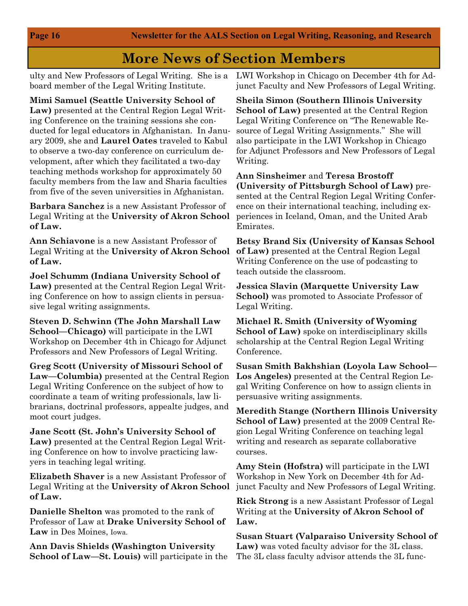board member of the Legal Writing Institute.

**Mimi Samuel (Seattle University School of Law)** presented at the Central Region Legal Writing Conference on the training sessions she conducted for legal educators in Afghanistan. In January 2009, she and **Laurel Oates** traveled to Kabul to observe a two-day conference on curriculum development, after which they facilitated a two-day teaching methods workshop for approximately 50 faculty members from the law and Sharia faculties from five of the seven universities in Afghanistan.

**Barbara Sanchez** is a new Assistant Professor of Legal Writing at the **University of Akron School of Law.** 

**Ann Schiavone** is a new Assistant Professor of Legal Writing at the **University of Akron School of Law.** 

**Joel Schumm (Indiana University School of Law)** presented at the Central Region Legal Writing Conference on how to assign clients in persuasive legal writing assignments.

**Steven D. Schwinn (The John Marshall Law School—Chicago)** will participate in the LWI Workshop on December 4th in Chicago for Adjunct Professors and New Professors of Legal Writing.

**Greg Scott (University of Missouri School of Law—Columbia)** presented at the Central Region Legal Writing Conference on the subject of how to coordinate a team of writing professionals, law librarians, doctrinal professors, appealte judges, and moot court judges.

**Jane Scott (St. John's University School of Law)** presented at the Central Region Legal Writing Conference on how to involve practicing lawyers in teaching legal writing.

**Elizabeth Shaver** is a new Assistant Professor of Legal Writing at the **University of Akron School of Law.** 

**Danielle Shelton** was promoted to the rank of Professor of Law at **Drake University School of Law** in Des Moines, Iowa.

**Ann Davis Shields (Washington University School of Law—St. Louis)** will participate in the

ulty and New Professors of Legal Writing. She is a LWI Workshop in Chicago on December 4th for Adjunct Faculty and New Professors of Legal Writing.

> **Sheila Simon (Southern Illinois University School of Law)** presented at the Central Region Legal Writing Conference on "The Renewable Resource of Legal Writing Assignments." She will also participate in the LWI Workshop in Chicago for Adjunct Professors and New Professors of Legal Writing.

> **Ann Sinsheimer** and **Teresa Brostoff (University of Pittsburgh School of Law)** presented at the Central Region Legal Writing Conference on their international teaching, including experiences in Iceland, Oman, and the United Arab Emirates.

> **Betsy Brand Six (University of Kansas School of Law)** presented at the Central Region Legal Writing Conference on the use of podcasting to teach outside the classroom.

**Jessica Slavin (Marquette University Law School)** was promoted to Associate Professor of Legal Writing.

**Michael R. Smith (University of Wyoming School of Law)** spoke on interdisciplinary skills scholarship at the Central Region Legal Writing Conference.

**Susan Smith Bakhshian (Loyola Law School— Los Angeles)** presented at the Central Region Legal Writing Conference on how to assign clients in persuasive writing assignments.

**Meredith Stange (Northern Illinois University School of Law)** presented at the 2009 Central Region Legal Writing Conference on teaching legal writing and research as separate collaborative courses.

**Amy Stein (Hofstra)** will participate in the LWI Workshop in New York on December 4th for Adjunct Faculty and New Professors of Legal Writing.

**Rick Strong** is a new Assistant Professor of Legal Writing at the **University of Akron School of Law.** 

**Susan Stuart (Valparaiso University School of Law)** was voted faculty advisor for the 3L class. The 3L class faculty advisor attends the 3L func-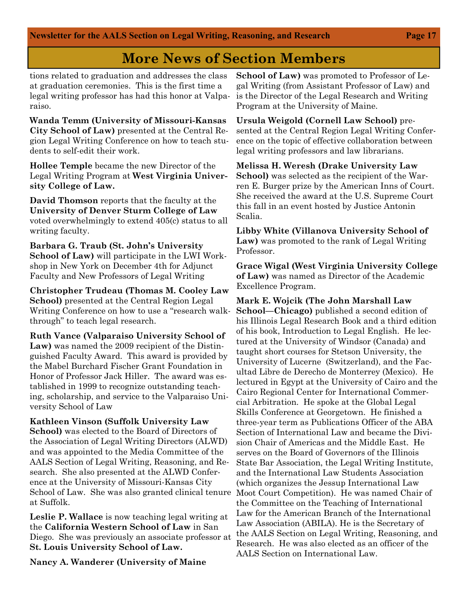tions related to graduation and addresses the class at graduation ceremonies. This is the first time a legal writing professor has had this honor at Valparaiso.

**Wanda Temm (University of Missouri-Kansas City School of Law)** presented at the Central Region Legal Writing Conference on how to teach students to self-edit their work.

**Hollee Temple** became the new Director of the Legal Writing Program at **West Virginia University College of Law.**

**David Thomson** reports that the faculty at the **University of Denver Sturm College of Law**  voted overwhelmingly to extend 405(c) status to all writing faculty.

**Barbara G. Traub (St. John's University School of Law)** will participate in the LWI Workshop in New York on December 4th for Adjunct Faculty and New Professors of Legal Writing

**Christopher Trudeau (Thomas M. Cooley Law School)** presented at the Central Region Legal Writing Conference on how to use a "research walkthrough" to teach legal research.

**Ruth Vance (Valparaiso University School of Law)** was named the 2009 recipient of the Distinguished Faculty Award. This award is provided by the Mabel Burchard Fischer Grant Foundation in Honor of Professor Jack Hiller. The award was established in 1999 to recognize outstanding teaching, scholarship, and service to the Valparaiso University School of Law

**Kathleen Vinson (Suffolk University Law School)** was elected to the Board of Directors of the Association of Legal Writing Directors (ALWD) and was appointed to the Media Committee of the AALS Section of Legal Writing, Reasoning, and Research. She also presented at the ALWD Conference at the University of Missouri-Kansas City School of Law. She was also granted clinical tenure at Suffolk.

**Leslie P. Wallace** is now teaching legal writing at the **California Western School of Law** in San Diego. She was previously an associate professor at **St. Louis University School of Law.** 

**Nancy A. Wanderer (University of Maine** 

**School of Law)** was promoted to Professor of Legal Writing (from Assistant Professor of Law) and is the Director of the Legal Research and Writing Program at the University of Maine.

**Ursula Weigold (Cornell Law School)** presented at the Central Region Legal Writing Conference on the topic of effective collaboration between legal writing professors and law librarians.

**Melissa H. Weresh (Drake University Law School)** was selected as the recipient of the Warren E. Burger prize by the American Inns of Court. She received the award at the U.S. Supreme Court this fall in an event hosted by Justice Antonin Scalia.

**Libby White (Villanova University School of Law)** was promoted to the rank of Legal Writing Professor.

**Grace Wigal (West Virginia University College of Law)** was named as Director of the Academic Excellence Program.

**Mark E. Wojcik (The John Marshall Law School—Chicago)** published a second edition of his Illinois Legal Research Book and a third edition of his book, Introduction to Legal English. He lectured at the University of Windsor (Canada) and taught short courses for Stetson University, the University of Lucerne (Switzerland), and the Facultad Libre de Derecho de Monterrey (Mexico). He lectured in Egypt at the University of Cairo and the Cairo Regional Center for International Commercial Arbitration. He spoke at the Global Legal Skills Conference at Georgetown. He finished a three-year term as Publications Officer of the ABA Section of International Law and became the Division Chair of Americas and the Middle East. He serves on the Board of Governors of the Illinois State Bar Association, the Legal Writing Institute, and the International Law Students Association (which organizes the Jessup International Law Moot Court Competition). He was named Chair of the Committee on the Teaching of International Law for the American Branch of the International Law Association (ABILA). He is the Secretary of the AALS Section on Legal Writing, Reasoning, and Research. He was also elected as an officer of the AALS Section on International Law.